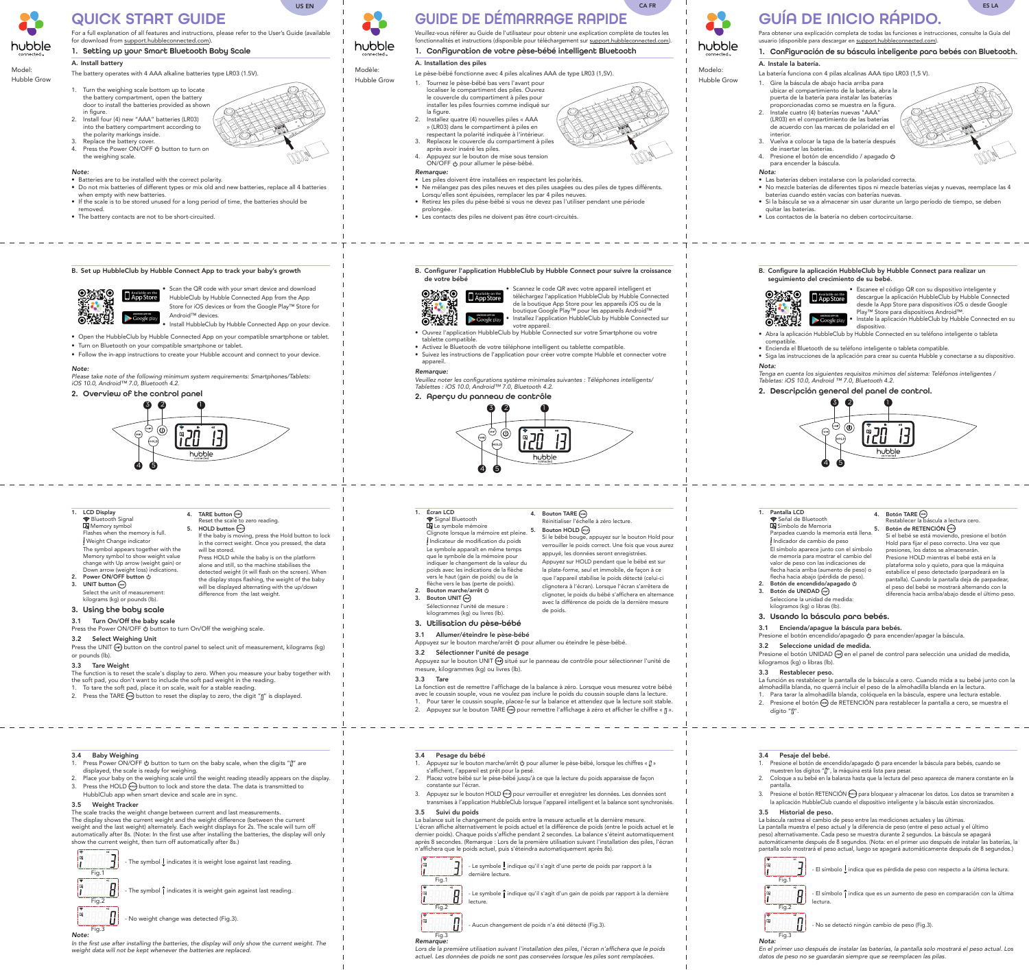# QUICK START GUIDE

For a full explanation of all features and instructions, please refer to the User's Guide (available

for download from support.hubbleconnected.com).

# 1. Setting up your Smart Bluetooth Baby Scale

A. Install battery The battery operates with 4 AAA alkaline batteries type LR03 (1.5V).

- 1. Turn the weighing scale bottom up to locate the battery compartment, open the battery door to install the batteries provided as shown in figure.
- 2. Install four (4) new "AAA" batteries (LR03) into the battery compartment according to the polarity markings inside. Replace the battery cover
- Press the Power ON/OFF  $\bigcirc$  button to turn on the weighing scale.



Scan the QR code with your smart device and download HubbleClub by Hubble Connected App from the App Store for iOS devices or from the Google Play™ Store for Android™ devices.

- *Note:*
- Batteries are to be installed with the correct polarity. • Do not mix batteries of different types or mix old and new batteries, replace all 4 batteries
- when empty with new batteries.
- If the scale is to be stored unused for a long period of time, the batteries should be
- removed. • The battery contacts are not to be short-circuited.
- B. Set up HubbleClub by Hubble Connect App to track your baby's growth





Model: Hubble Grow US EN

- $\overline{\mathbf{B}}$  Memory symbol
- Flashes when the memory is full. Weight Change indicator The symbol appears together with the Memory symbol to show weight value
- change with Up arrow (weight gain) or Down arrow (weight loss) indications. 2. Power ON/OFF button  $\psi$ 3. UNIT button (MIT)
- Select the unit of measurement: kilograms (kg) or pounds (lb).
- 3. Using the baby scale
- 3.1 Turn On/Off the baby scale
- Press the Power ON/OFF 0 button to turn On/Off the weighing scale.

Press the UNIT (M) button on the control panel to select unit of measurement, kilograms (kg) or pounds (lb).

- The function is to reset the scale's display to zero. When you measure your baby together with the soft pad, you don't want to include the soft pad weight in the reading.
- 1. To tare the soft pad, place it on scale, wait for a stable reading.
- 2. Press the TARE  $\overline{A}$  button to reset the display to zero, the digit " $\int_1^{\pi}$ " is displayed.
- Install HubbleClub by Hubble Connected App on your device.
- Open the HubbleClub by Hubble Connected App on your compatible smartphone or tablet.
- Turn on Bluetooth on your compatible smartphone or tablet.
- Follow the in-app instructions to create your Hubble account and connect to your device.

#### *Note:*

*Please take note of the following minimum system requirements: Smartphones/Tablets: iOS 10.0, Android™ 7.0, Bluetooth 4.2.*

# 2. Overview of the control panel



4. TARE button  $\binom{n}{A \cap B}$ 

5. HOLD button  $\circledcirc$ 

#### 1. LCD Display Bluetooth Signal

- Press Power ON/OFF  $\psi$  button to turn on the baby scale, when the digits "[]" are displayed, the scale is ready for weighing.
- 2. Place your baby on the weighing scale until the weight reading steadily appears on the display. 3. Press the HOLD  $\text{F0}$  button to lock and store the data. The data is transmitted to
- HubblClub app when smart device and scale are in sync.
- 3.5 Weight Tracker

Fig.1 The symbol  $\mathsf I$  indicates it is weight lose against last reading.

symbol  $\bar{\mathbf{i}}$  indicates it is weight gain against last reading

Reset the scale to zero reading.

In the first use after installing the batteries, the display will only show the current weight. The weight data will not be kept whenever the batteries are replaced.



### Veuillez-vous référer au Guide de l'utilisateur pour obtenir une explication complète de toutes les fonctionnalités et instructions (disponible pour téléchargement sur support.hubbleconnected.com).

If the baby is moving, press the Hold button to lock in the correct weight. Once you pressed, the data

will be stored.

 Press HOLD while the baby is on the platform alone and still, so the machine stabilises the detected weight (it will flash on the screen). When the display stops flashing, the weight of the baby will be displayed alternating with the up/down

difference from the last weight.

# 3.2 Select Weighing Unit

#### 3.3 Tare Weight

#### Scannez le code QR avec votre appareil intelligent et téléchargez l'application HubbleClub by Hubble Connected

# 3.4 Baby Weighing

Veuillez noter les configurations système minimales suivantes : Téléphones intelligents/ *Tablettes : iOS 10.0, Android™ 7.0, Bluetooth 4.2.*

The scale tracks the weight change between current and last measurements.

The display shows the current weight and the weight difference (between the current weight and the last weight) alternately. Each weight displays for 2s. The scale will turn off automatically after 8s. (Note: In the first use after installing the batteries, the display will only show the current weight, then turn off automatically after 8s.)

#### Appuyez sur le bouton UNIT (« situé sur le panneau de contrôle pour sélectionner l'unité de mesure, kilogrammes (kg) ou livres (lb).



No weight change was detected (Fig.3)

#### Fig.3 *Note:*

- Appuyez sur le bouton marche/arrêt  $\phi$  pour allumer le pèse-bébé, lorsque les chiffres « [] »
- s'affichent, l'appareil est prêt pour la pesé. 2. Placez votre bébé sur le pèse-bébé jusqu'à ce que la lecture du poids apparaisse de façon constante sur l'écran.
- 3. Appuyez sur le bouton HOLD (000) pour verrouiller et enregistrer les données. Les données sont transmises à l'application HubbleClub lorsque l'appareil intelligent et la balance sont synchronisés. 3.5 Suivi du poids

# GUIDE DE DÉMARRAGE RAPIDE

# 1. Configuration de votre pèse-bébé intelligent Bluetooth

 $\cdot$  Le symbole  $\bigcup$  indique qu'il s'agit d'une perte de poids par rapport à la dernière lecture.

indique qu'il s'agit d'un gain de poids par rapport à la dernière

A. Installation des piles

Lors de la première utilisation suivant l'installation des piles, l'écran n'affichera que le poids actuel. Les données de poids ne sont pas conservées lorsque les piles sont remplacées.

- Le pèse-bébé fonctionne avec 4 piles alcalines AAA de type LR03 (1,5V). 1. Tournez le pèse-bébé bas vers l'avant pour localiser le compartiment des piles. Ouvrez le couvercle du compartiment à piles pour installer les piles fournies comme indiqué sur la figure.
- 2. Installez quatre (4) nouvelles piles « AAA » (LR03) dans le compartiment à piles en respectant la polarité indiquée à l'intérieur.
- 3. Replacez le couvercle du compartiment à piles après avoir inséré les piles.
- 4. Appuyez sur le bouton de mise sous tension ON/OFF  $\Phi$  pour allumer le pèse-bébé.
- *Remarque:*
- Les piles doivent être installées en respectant les polarités.
- Ne mélangez pas des piles neuves et des piles usagées ou des piles de types différents.
- Lorsqu'elles sont épuisées, remplacer les par 4 piles neuves. • Retirez les piles du pèse-bébé si vous ne devez pas l'utiliser pendant une période
- prolongée.
- Les contacts des piles ne doivent pas être court-circuités.

Modèle: Hubble Grow CA FR





- 1. Pantalla LCD Señal de Bluetooth Símbolo de Memoria Parpadea cuando la memoria está llena. Indicador de cambio de peso El símbolo aparece junto con el símbolo de memoria para mostrar el cambio del valor de peso con las indicaciones de flecha hacia arriba (aumento de peso) o flecha hacia abajo (pérdida de peso). 2. Botón de encendido/apagado 0 3. Botón de UNIDAD (MIT) Seleccione la unidad de medida: kilogramos (kg) o libras (lb). 4. Botón TARE TARE Restablecer la báscula a lectura cero. Botón de RETENCIÓN (600) Si el bebé se está moviendo, presione el botón Hold para fijar el peso correcto. Una vez que presiones, los datos se almacenarán. Presione HOLD mientras el bebé está en la plataforma solo y quieto, para que la máquina estabilice el peso detectado (parpadeará en la pantalla). Cuando la pantalla deja de parpadear, el peso del bebé se mostrará alternando con la diferencia hacia arriba/abajo desde el último peso. 3. Usando la báscula para bebés. 3.1 Encienda/apague la báscula para bebés. Presione el botón encendido/apagado 0 para encender/apagar la báscula. 3.2 Seleccione unidad de medida. Presione el botón UNIDAD (vvi) en el panel de control para selección una unidad de medida, kilogramos (kg) o libras (lb). 3.3 Restablecer peso. La función es restablecer la pantalla de la báscula a cero. Cuando mida a su bebé junto con la
- almohadilla blanda, no querrá incluir el peso de la almohadilla blanda en la lectura.
- 1. Para tarar la almohadilla blanda, colóquela en la báscula, espere una lectura estable.
- 2. Presione el botón (xARE) de RETENCIÓN para restablecer la pantalla a cero, se muestra el dígito "[]".
- de la boutique App Store pour les appareils iOS ou de la boutique Google Play™ pour les appareils Android™
- Installez l'application HubbleClub by Hubble Connected sur votre appareil.
- Ouvrez l'application HubbleClub by Hubble Connected sur votre Smartphone ou votre tablette compatible.
- Activez le Bluetooth de votre téléphone intelligent ou tablette compatible. • Suivez les instructions de l'application pour créer votre compte Hubble et connecter votre appareil.

#### *Remarque:*





4. Bouton TARE  $\binom{n}{k}$ 

5. Bouton HOLD (FOLD)

- Presione el botón de encendido/apagado  $\phi$  para encender la báscula para bebés, cuando se
- muestren los dígitos " Il", la máquina está lista para pesar. 2. Coloque a su bebé en la balanza hasta que la lectura del peso aparezca de manera constante en la pantalla.
- 3. Presione el botón RETENCIÓN ([000] para bloquear y almacenar los datos. Los datos se transmiten a la aplicación HubbleClub cuando el dispositivo inteligente y la báscula están sincronizados.
- 3.5 Historial de peso.

Réinitialiser l'échelle à zéro lecture.

- 1. Écran LCD Signal Bluetooth Le symbole mémoire Clignote lorsque la mémoire est pleine. Indicateur de modification du poids Le symbole apparaît en même temps que le symbole de la mémoire pour indiquer le changement de la valeur du poids avec les indications de la flèche
- vers le haut (gain de poids) ou de la flèche vers le bas (perte de poids). 2. Bouton marche/arrêt  $\phi$ 3. Bouton UNIT (WIT)
- Sélectionnez l'unité de mesure :
- kilogrammes (kg) ou livres (lb).
- 3. Utilisation du pèse-bébé

indica que es un aumento de peso en comparación con la últim lectura.

El símbolo  $\underline{\mathsf{I}}$  indica que es pérdida de peso con respecto a la última lectura.

Si le bébé bouge, appuyez sur le bouton Hold pour verrouiller le poids correct. Une fois que vous aurez appuyé, les données seront enregistrées. Appuyez sur HOLD pendant que le bébé est sur la plate-forme, seul et immobile, de façon à ce que l'appareil stabilise le poids détecté (celui-ci clignotera à l'écran). Lorsque l'écran s'arrêtera de clignoter, le poids du bébé s'affichera en alternance avec la différence de poids de la dernière mesure

de poids.

#### 3.1 Allumer/éteindre le pèse-bébé

Appuyez sur le bouton marche/arrêt (b pour allumer ou éteindre le pèse-bébé.

3.2 Sélectionner l'unité de pesage

#### 3.3 Tare

- La fonction est de remettre l'affichage de la balance à zéro. Lorsque vous mesurez votre bébé avec le coussin souple, vous ne voulez pas inclure le poids du coussin souple dans la lecture. 1. Pour tarer le coussin souple, placez-le sur la balance et attendez que la lecture soit stable.
- 2. Appuyez sur le bouton TARE  $f(x)$  pour remettre l'affichage à zéro et afficher le chiffre «  $\beta$  ».

# 3.4 Pesage du bébé

#### La balance suit le changement de poids entre la mesure actuelle et la dernière mesure.

#### L'écran affiche alternativement le poids actuel et la différence de poids (entre le poids actuel et le dernier poids). Chaque poids s'affiche pendant 2 secondes. La balance s'éteint automatiquement après 8 secondes. (Remarque : Lors de la première utilisation suivant l'installation des piles, l'écran n'affichera que le poids actuel, puis s'éteindra automatiquement après 8s).

Aucun changement de poids n'a été détecté (Fig.3)



Fig.2

lecture.

Fig.3

*Remarque:*

# GUÍA DE INICIO RÁPIDO.

Para obtener una explicación completa de todas las funciones e instrucciones, consulte la Guía del

usuario (disponible para descargar en support.hubbleconnected.com).

1. Configuración de su báscula inteligente para bebés con Bluetooth.

## A. Instale la batería.

- La batería funciona con 4 pilas alcalinas AAA tipo LR03 (1,5 V).
- 1. Gire la báscula de abajo hacia arriba para ubicar el compartimiento de la batería, abra la puerta de la batería para instalar las baterías proporcionadas como se muestra en la figura.
- 2. Instale cuatro (4) baterías nuevas "AAA" (LR03) en el compartimiento de las baterías de acuerdo con las marcas de polaridad en el interior.
- 3. Vuelva a colocar la tapa de la batería después de insertar las baterías.
- 4. Presione el botón de encendido / apagado  $\theta$
- para encender la báscula.

#### *Nota:*

- Las baterías deben instalarse con la polaridad correcta.
- No mezcle baterías de diferentes tipos ni mezcle baterías viejas y nuevas, reemplace las 4 baterías cuando estén vacías con baterías nuevas.
- Si la báscula se va a almacenar sin usar durante un largo período de tiempo, se deben quitar las baterías.
- Los contactos de la batería no deben cortocircuitarse.
- B. Configure la aplicación HubbleClub by Hubble Connect para realizar un seguimiento del crecimiento de su bebé.





Modelo: Hubble Grow

hubble

ES LA

- Escanee el código QR con su dispositivo inteligente y descargue la aplicación HubbleClub by Hubble Connected desde la App Store para dispositivos iOS o desde Google Play™ Store para dispositivos Android™.
- Instale la aplicación HubbleClub by Hubble Connected en su dispositivo.
- Abra la aplicación HubbleClub by Hubble Connected en su teléfono inteligente o tableta compatible.
- Encienda el Bluetooth de su teléfono inteligente o tableta compatible. • Siga las instrucciones de la aplicación para crear su cuenta Hubble y conectarse a su dispositivo.

*Nota:* Tenga en cuenta los siguientes requisitos mínimos del sistema: Teléfonos inteligentes / *Tabletas: iOS 10.0, Android ™ 7.0, Bluetooth 4.2.*

2. Descripción general del panel de control.



#### 3.4 Pesaje del bebé.

La báscula rastrea el cambio de peso entre las mediciones actuales y las últimas.

La pantalla muestra el peso actual y la diferencia de peso (entre el peso actual y el último

peso) alternativamente. Cada peso se muestra durante 2 segundos. La báscula se apagará automáticamente después de 8 segundos. (Nota: en el primer uso después de instalar las baterías, la pantalla solo mostrará el peso actual, luego se apagará automáticamente después de 8 segundos.)



- No se detectó ningún cambio de peso (Fig.3).

#### Fig.3 *Nota:*

En el primer uso después de instalar las baterías, la pantalla solo mostrará el peso actual. Los datos de peso no se guardarán siempre que se reemplacen las pilas.